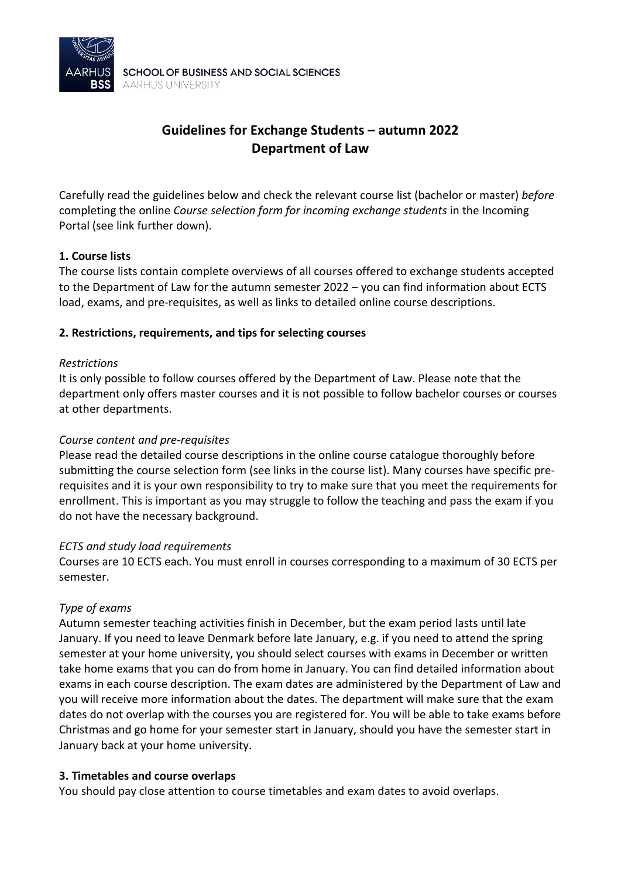

# **Guidelines for Exchange Students – autumn 2022 Department of Law**

Carefully read the guidelines below and check the relevant course list (bachelor or master) *before* completing the online *Course selection form for incoming exchange students* in the Incoming Portal (see link further down).

## **1. Course lists**

The course lists contain complete overviews of all courses offered to exchange students accepted to the Department of Law for the autumn semester 2022 – you can find information about ECTS load, exams, and pre-requisites, as well as links to detailed online course descriptions.

## **2. Restrictions, requirements, and tips for selecting courses**

#### *Restrictions*

It is only possible to follow courses offered by the Department of Law. Please note that the department only offers master courses and it is not possible to follow bachelor courses or courses at other departments.

#### *Course content and pre-requisites*

Please read the detailed course descriptions in the online course catalogue thoroughly before submitting the course selection form (see links in the course list). Many courses have specific prerequisites and it is your own responsibility to try to make sure that you meet the requirements for enrollment. This is important as you may struggle to follow the teaching and pass the exam if you do not have the necessary background.

#### *ECTS and study load requirements*

Courses are 10 ECTS each. You must enroll in courses corresponding to a maximum of 30 ECTS per semester.

## *Type of exams*

Autumn semester teaching activities finish in December, but the exam period lasts until late January. If you need to leave Denmark before late January, e.g. if you need to attend the spring semester at your home university, you should select courses with exams in December or written take home exams that you can do from home in January. You can find detailed information about exams in each course description. The exam dates are administered by the Department of Law and you will receive more information about the dates. The department will make sure that the exam dates do not overlap with the courses you are registered for. You will be able to take exams before Christmas and go home for your semester start in January, should you have the semester start in January back at your home university.

#### **3. Timetables and course overlaps**

You should pay close attention to course timetables and exam dates to avoid overlaps.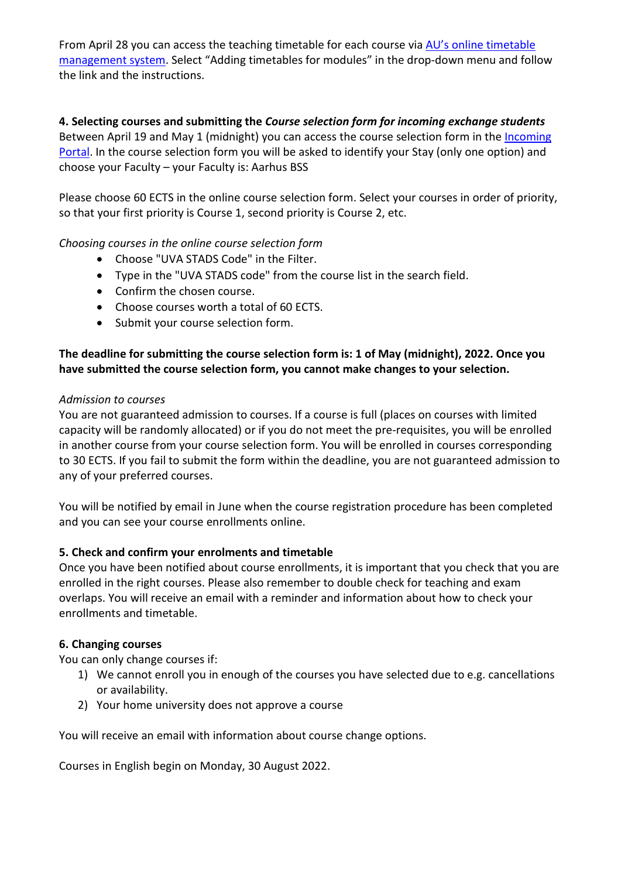From April 28 you can access the teaching timetable for each course via [AU's online timetable](https://studerende.au.dk/en/it-support/timeplanner-timetableaudk/)  [management system.](https://studerende.au.dk/en/it-support/timeplanner-timetableaudk/) Select "Adding timetables for modules" in the drop-down menu and follow the link and the instructions.

# **4. Selecting courses and submitting the** *Course selection form for incoming exchange students*

Between April 19 and May 1 (midnight) you can access the course selection form in th[e Incoming](https://au.moveon4.de/form/5c7d0032d97e904b768b4569/eng) [Portal.](https://au.moveon4.de/form/5c7d0032d97e904b768b4569/eng) In the course selection form you will be asked to identify your Stay (only one option) and choose your Faculty – your Faculty is: Aarhus BSS

Please choose 60 ECTS in the online course selection form. Select your courses in order of priority, so that your first priority is Course 1, second priority is Course 2, etc.

# *Choosing courses in the online course selection form*

- Choose "UVA STADS Code" in the Filter.
- Type in the "UVA STADS code" from the course list in the search field.
- Confirm the chosen course.
- Choose courses worth a total of 60 ECTS.
- Submit your course selection form.

# **The deadline for submitting the course selection form is: 1 of May (midnight), 2022. Once you have submitted the course selection form, you cannot make changes to your selection.**

## *Admission to courses*

You are not guaranteed admission to courses. If a course is full (places on courses with limited capacity will be randomly allocated) or if you do not meet the pre-requisites, you will be enrolled in another course from your course selection form. You will be enrolled in courses corresponding to 30 ECTS. If you fail to submit the form within the deadline, you are not guaranteed admission to any of your preferred courses.

You will be notified by email in June when the course registration procedure has been completed and you can see your course enrollments online.

## **5. Check and confirm your enrolments and timetable**

Once you have been notified about course enrollments, it is important that you check that you are enrolled in the right courses. Please also remember to double check for teaching and exam overlaps. You will receive an email with a reminder and information about how to check your enrollments and timetable.

## **6. Changing courses**

You can only change courses if:

- 1) We cannot enroll you in enough of the courses you have selected due to e.g. cancellations or availability.
- 2) Your home university does not approve a course

You will receive an email with information about course change options.

Courses in English begin on Monday, 30 August 2022.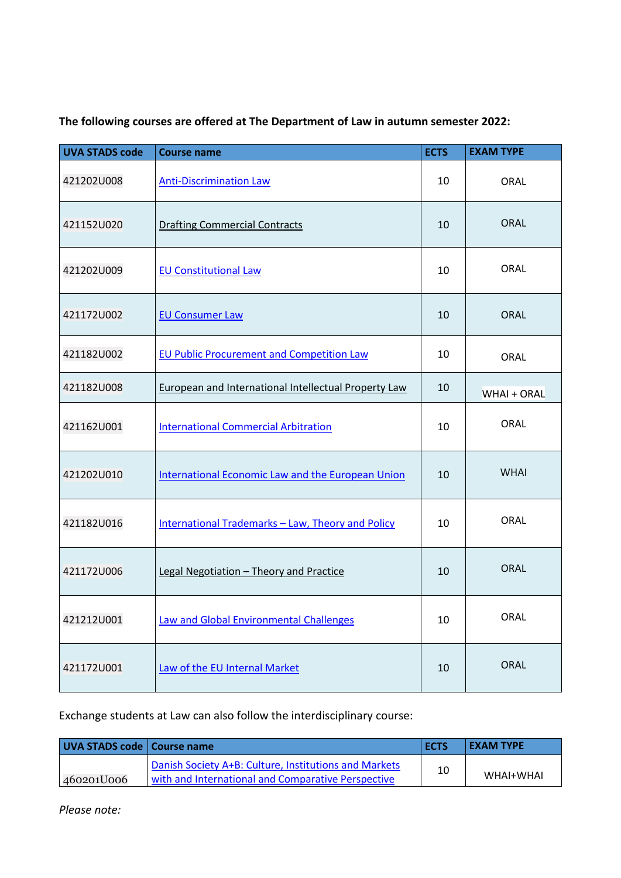| <b>UVA STADS code</b> | <b>Course name</b>                                          | <b>ECTS</b> | <b>EXAM TYPE</b> |
|-----------------------|-------------------------------------------------------------|-------------|------------------|
| 421202U008            | <b>Anti-Discrimination Law</b>                              | 10          | <b>ORAL</b>      |
| 421152U020            | <b>Drafting Commercial Contracts</b>                        | 10          | <b>ORAL</b>      |
| 421202U009            | <b>EU Constitutional Law</b>                                | 10          | <b>ORAL</b>      |
| 421172U002            | <b>EU Consumer Law</b>                                      | 10          | <b>ORAL</b>      |
| 421182U002            | <b>EU Public Procurement and Competition Law</b>            | 10          | ORAL             |
| 421182U008            | <b>European and International Intellectual Property Law</b> | 10          | WHAI + ORAL      |
| 421162U001            | <b>International Commercial Arbitration</b>                 | 10          | <b>ORAL</b>      |
| 421202U010            | <b>International Economic Law and the European Union</b>    | 10          | <b>WHAI</b>      |
| 421182U016            | International Trademarks - Law, Theory and Policy           | 10          | <b>ORAL</b>      |
| 421172U006            | Legal Negotiation - Theory and Practice                     | 10          | <b>ORAL</b>      |
| 421212U001            | <b>Law and Global Environmental Challenges</b>              | 10          | ORAL             |
| 421172U001            | Law of the EU Internal Market                               | 10          | ORAL             |

**The following courses are offered at The Department of Law in autumn semester 2022:**

Exchange students at Law can also follow the interdisciplinary course:

| UVA STADS code   Course name |                                                       | <b>ECTS</b> | <b>LEXAM TYPE</b> |
|------------------------------|-------------------------------------------------------|-------------|-------------------|
|                              | Danish Society A+B: Culture, Institutions and Markets | 10          |                   |
| 460201U006                   | with and International and Comparative Perspective    |             | WHAI+WHAI         |

*Please note:*